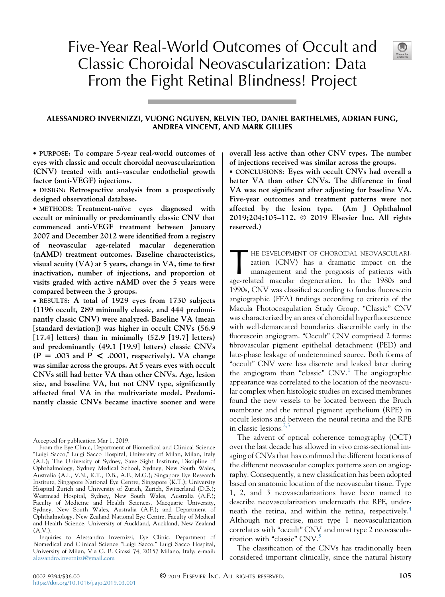# Five-Year Real-World Outcomes of Occult and Classic Choroidal Neovascularization: Data From the Fight Retinal Blindness! Project



#### ALESSANDRO INVERNIZZI, VUONG NGUYEN, KELVIN TEO, DANIEL BARTHELMES, ADRIAN FUNG, ANDREA VINCENT, AND MARK GILLIES

 PURPOSE: To compare 5-year real-world outcomes of eyes with classic and occult choroidal neovascularization (CNV) treated with anti–vascular endothelial growth factor (anti-VEGF) injections.

 DESIGN: Retrospective analysis from a prospectively designed observational database.

• METHODS: Treatment-naïve eyes diagnosed with occult or minimally or predominantly classic CNV that commenced anti-VEGF treatment between January 2007 and December 2012 were identified from a registry of neovascular age-related macular degeneration (nAMD) treatment outcomes. Baseline characteristics, visual acuity (VA) at 5 years, change in VA, time to first inactivation, number of injections, and proportion of visits graded with active nAMD over the 5 years were compared between the 3 groups.

 RESULTS: A total of 1929 eyes from 1730 subjects (1196 occult, 289 minimally classic, and 444 predominantly classic CNV) were analyzed. Baseline VA (mean [standard deviation]) was higher in occult CNVs (56.9 [17.4] letters) than in minimally (52.9 [19.7] letters) and predominantly (49.1 [19.9] letters) classic CNVs  $(P = .003$  and  $P < .0001$ , respectively). VA change was similar across the groups. At 5 years eyes with occult CNVs still had better VA than other CNVs. Age, lesion size, and baseline VA, but not CNV type, significantly affected final VA in the multivariate model. Predominantly classic CNVs became inactive sooner and were

Inquiries to Alessandro Invernizzi, Eye Clinic, Department of Biomedical and Clinical Science ''Luigi Sacco,'' Luigi Sacco Hospital, University of Milan, Via G. B. Grassi 74, 20157 Milano, Italy; e-mail: [alessandro.invernizzi@gmail.com](mailto:alessandro.invernizzi@gmail.com)

overall less active than other CNV types. The number of injections received was similar across the groups.

 CONCLUSIONS: Eyes with occult CNVs had overall a better VA than other CNVs. The difference in final VA was not significant after adjusting for baseline VA. Five-year outcomes and treatment patterns were not affected by the lesion type. (Am J Ophthalmol 2019;204:105-112. © 2019 Elsevier Inc. All rights reserved.)

HE DEVELOPMENT OF CHOROIDAL NEOVASCULARI-<br>zation (CNV) has a dramatic impact on the<br>management and the prognosis of patients with<br>age-related macular degeneration. In the 1980s and zation (CNV) has a dramatic impact on the management and the prognosis of patients with age-related macular degeneration. In the 1980s and 1990s, CNV was classified according to fundus fluorescein angiographic (FFA) findings according to criteria of the Macula Photocoagulation Study Group. ''Classic'' CNV was characterized by an area of choroidal hyperfluorescence with well-demarcated boundaries discernible early in the fluorescein angiogram. ''Occult'' CNV comprised 2 forms: fibrovascular pigment epithelial detachment (PED) and late-phase leakage of undetermined source. Both forms of "occult" CNV were less discrete and leaked later during the angiogram than "classic"  $CNV<sup>1</sup>$  $CNV<sup>1</sup>$  $CNV<sup>1</sup>$  The angiographic appearance was correlated to the location of the neovascular complex when histologic studies on excised membranes found the new vessels to be located between the Bruch membrane and the retinal pigment epithelium (RPE) in occult lesions and between the neural retina and the RPE in classic lesions. $2,3$ 

The advent of optical coherence tomography (OCT) over the last decade has allowed in vivo cross-sectional imaging of CNVs that has confirmed the different locations of the different neovascular complex patterns seen on angiography. Consequently, a new classification has been adopted based on anatomic location of the neovascular tissue. Type 1, 2, and 3 neovascularizations have been named to describe neovascularization underneath the RPE, under-neath the retina, and within the retina, respectively.<sup>[4](#page-6-0)</sup> Although not precise, most type 1 neovascularization correlates with "occult" CNV and most type 2 neovascularization with "classic"  $\rm CNV.^5$  $\rm CNV.^5$ 

The classification of the CNVs has traditionally been considered important clinically, since the natural history

Accepted for publication Mar 1, 2019.

From the Eye Clinic, Department of Biomedical and Clinical Science ''Luigi Sacco,'' Luigi Sacco Hospital, University of Milan, Milan, Italy (A.I.); The University of Sydney, Save Sight Institute, Discipline of Ophthalmology, Sydney Medical School, Sydney, New South Wales, Australia (A.I., V.N., K.T., D.B., A.F., M.G.); Singapore Eye Research Institute, Singapore National Eye Centre, Singapore (K.T.); University Hospital Zurich and University of Zurich, Zurich, Switzerland (D.B.); Westmead Hospital, Sydney, New South Wales, Australia (A.F.); Faculty of Medicine and Health Sciences, Macquarie University, Sydney, New South Wales, Australia (A.F.); and Department of Ophthalmology, New Zealand National Eye Centre, Faculty of Medical and Health Science, University of Auckland, Auckland, New Zealand (A.V.).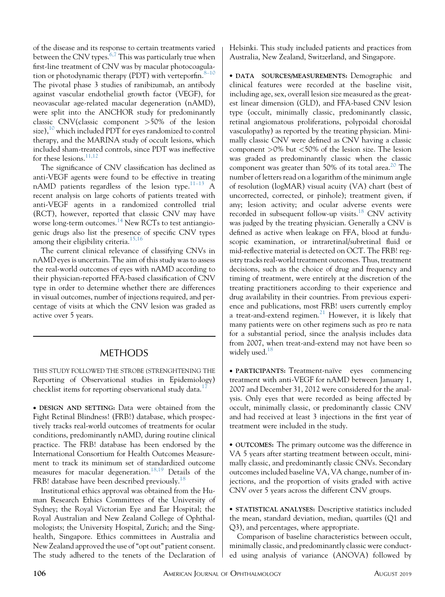of the disease and its response to certain treatments varied between the CNV types.<sup>[6,7](#page-6-0)</sup> This was particularly true when first-line treatment of CNV was by macular photocoagulation or photodynamic therapy (PDT) with verteporfin.<sup>8-10</sup> The pivotal phase 3 studies of ranibizumab, an antibody against vascular endothelial growth factor (VEGF), for neovascular age-related macular degeneration (nAMD), were split into the ANCHOR study for predominantly classic CNV(classic component >50% of the lesion size), $^{10}$  $^{10}$  $^{10}$  which included PDT for eyes randomized to control therapy, and the MARINA study of occult lesions, which included sham-treated controls, since PDT was ineffective for these lesions. $11,12$ 

The significance of CNV classification has declined as anti-VEGF agents were found to be effective in treating nAMD patients regardless of the lesion type. $11-13$  A recent analysis on large cohorts of patients treated with anti-VEGF agents in a randomized controlled trial (RCT), however, reported that classic CNV may have worse long-term outcomes.<sup>[14](#page-6-0)</sup> New RCTs to test antiangiogenic drugs also list the presence of specific CNV types among their eligibility criteria.<sup>[15,16](#page-7-0)</sup>

The current clinical relevance of classifying CNVs in nAMD eyes is uncertain. The aim of this study was to assess the real-world outcomes of eyes with nAMD according to their physician-reported FFA-based classification of CNV type in order to determine whether there are differences in visual outcomes, number of injections required, and percentage of visits at which the CNV lesion was graded as active over 5 years.

## METHODS

THIS STUDY FOLLOWED THE STROBE (STRENGHTENING THE Reporting of Observational studies in Epidemiology) checklist items for reporting observational study data.<sup>1</sup>

 DESIGN AND SETTING: Data were obtained from the Fight Retinal Blindness! (FRB!) database, which prospectively tracks real-world outcomes of treatments for ocular conditions, predominantly nAMD, during routine clinical practice. The FRB! database has been endorsed by the International Consortium for Health Outcomes Measurement to track its minimum set of standardized outcome measures for macular degeneration.<sup>[18,19](#page-7-0)</sup> Details of the FRB! database have been described previously.<sup>[18](#page-7-0)</sup>

Institutional ethics approval was obtained from the Human Research Ethics Committees of the University of Sydney; the Royal Victorian Eye and Ear Hospital; the Royal Australian and New Zealand College of Ophthalmologists; the University Hospital, Zurich; and the Singhealth, Singapore. Ethics committees in Australia and New Zealand approved the use of ''opt out'' patient consent. The study adhered to the tenets of the Declaration of Helsinki. This study included patients and practices from Australia, New Zealand, Switzerland, and Singapore.

 DATA SOURCES/MEASUREMENTS: Demographic and clinical features were recorded at the baseline visit, including age, sex, overall lesion size measured as the greatest linear dimension (GLD), and FFA-based CNV lesion type (occult, minimally classic, predominantly classic, retinal angiomatous proliferations, polypoidal choroidal vasculopathy) as reported by the treating physician. Minimally classic CNV were defined as CNV having a classic component >0% but <50% of the lesion size. The lesion was graded as predominantly classic when the classic component was greater than  $50\%$  of its total area.<sup>[20](#page-7-0)</sup> The number of letters read on a logarithm of the minimum angle of resolution (logMAR) visual acuity (VA) chart (best of uncorrected, corrected, or pinhole); treatment given, if any; lesion activity; and ocular adverse events were recorded in subsequent follow-up visits.<sup>[18](#page-7-0)</sup> CNV activity was judged by the treating physician. Generally a CNV is defined as active when leakage on FFA, blood at funduscopic examination, or intraretinal/subretinal fluid or mid-reflective material is detected on OCT. The FRB! registry tracks real-world treatment outcomes. Thus, treatment decisions, such as the choice of drug and frequency and timing of treatment, were entirely at the discretion of the treating practitioners according to their experience and drug availability in their countries. From previous experience and publications, most FRB! users currently employ a treat-and-extend regimen.<sup>[21](#page-7-0)</sup> However, it is likely that many patients were on other regimens such as pro re nata for a substantial period, since the analysis includes data from 2007, when treat-and-extend may not have been so widely used.<sup>[18](#page-7-0)</sup>

• PARTICIPANTS: Treatment-naïve eyes commencing treatment with anti-VEGF for nAMD between January 1, 2007 and December 31, 2012 were considered for the analysis. Only eyes that were recorded as being affected by occult, minimally classic, or predominantly classic CNV and had received at least 3 injections in the first year of treatment were included in the study.

 OUTCOMES: The primary outcome was the difference in VA 5 years after starting treatment between occult, minimally classic, and predominantly classic CNVs. Secondary outcomes included baseline VA, VA change, number of injections, and the proportion of visits graded with active CNV over 5 years across the different CNV groups.

• STATISTICAL ANALYSES: Descriptive statistics included the mean, standard deviation, median, quartiles (Q1 and Q3), and percentages, where appropriate.

Comparison of baseline characteristics between occult, minimally classic, and predominantly classic were conducted using analysis of variance (ANOVA) followed by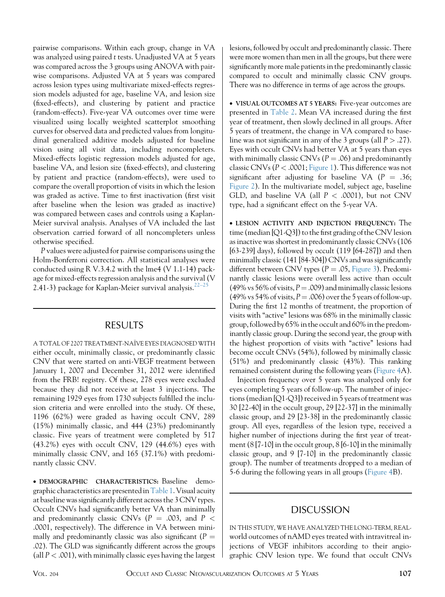pairwise comparisons. Within each group, change in VA was analyzed using paired t tests. Unadjusted VA at 5 years was compared across the 3 groups using ANOVA with pairwise comparisons. Adjusted VA at 5 years was compared across lesion types using multivariate mixed-effects regression models adjusted for age, baseline VA, and lesion size (fixed-effects), and clustering by patient and practice (random-effects). Five-year VA outcomes over time were visualized using locally weighted scatterplot smoothing curves for observed data and predicted values from longitudinal generalized additive models adjusted for baseline vision using all visit data, including noncompleters. Mixed-effects logistic regression models adjusted for age, baseline VA, and lesion size (fixed-effects), and clustering by patient and practice (random-effects), were used to compare the overall proportion of visits in which the lesion was graded as active. Time to first inactivation (first visit after baseline when the lesion was graded as inactive) was compared between cases and controls using a Kaplan-Meier survival analysis. Analyses of VA included the last observation carried forward of all noncompleters unless otherwise specified.

P values were adjusted for pairwise comparisons using the Holm-Bonferroni correction. All statistical analyses were conducted using R V.3.4.2 with the lme4 (V 1.1-14) package for mixed-effects regression analysis and the survival (V 2.41-3) package for Kaplan-Meier survival analysis.<sup>22–2</sup>

### RESULTS

A TOTAL OF 2207 TREATMENT-NAÏVE EYES DIAGNOSED WITH either occult, minimally classic, or predominantly classic CNV that were started on anti-VEGF treatment between January 1, 2007 and December 31, 2012 were identified from the FRB! registry. Of these, 278 eyes were excluded because they did not receive at least 3 injections. The remaining 1929 eyes from 1730 subjects fulfilled the inclusion criteria and were enrolled into the study. Of these, 1196 (62%) were graded as having occult CNV, 289 (15%) minimally classic, and 444 (23%) predominantly classic. Five years of treatment were completed by 517 (43.2%) eyes with occult CNV, 129 (44.6%) eyes with minimally classic CNV, and 165 (37.1%) with predominantly classic CNV.

 DEMOGRAPHIC CHARACTERISTICS: Baseline demographic characteristics are presented in[Table 1](#page-3-0). Visual acuity at baseline was significantly different across the 3 CNV types. Occult CNVs had significantly better VA than minimally and predominantly classic CNVs ( $P = .003$ , and  $P <$ .0001, respectively). The difference in VA between minimally and predominantly classic was also significant ( $P =$ .02). The GLD was significantly different across the groups (all  $P < .001$ ), with minimally classic eyes having the largest lesions, followed by occult and predominantly classic. There were more women than men in all the groups, but there were significantly more male patients in the predominantly classic compared to occult and minimally classic CNV groups. There was no difference in terms of age across the groups.

 VISUAL OUTCOMES AT 5 YEARS: Five-year outcomes are presented in [Table 2.](#page-3-0) Mean VA increased during the first year of treatment, then slowly declined in all groups. After 5 years of treatment, the change in VA compared to baseline was not significant in any of the 3 groups (all  $P > .27$ ). Eyes with occult CNVs had better VA at 5 years than eyes with minimally classic CNVs ( $P = .06$ ) and predominantly classic CNVs ( $P < .0001$ ; [Figure 1](#page-4-0)). This difference was not significant after adjusting for baseline VA ( $P = .36$ ; [Figure 2](#page-4-0)). In the multivariate model, subject age, baseline GLD, and baseline VA (all  $P < .0001$ ), but not CNV type, had a significant effect on the 5-year VA.

 LESION ACTIVITY AND INJECTION FREQUENCY: The time (median [Q1-Q3]) to the first grading of the CNV lesion as inactive was shortest in predominantly classic CNVs (106 [63-239] days), followed by occult (119 [64-287]) and then minimally classic (141 [84-304]) CNVs and was significantly different between CNV types ( $P = .05$ , [Figure 3\)](#page-4-0). Predominantly classic lesions were overall less active than occult (49% vs 56% of visits,  $P = .009$ ) and minimally classic lesions (49% vs 54% of visits,  $P = .006$ ) over the 5 years of follow-up. During the first 12 months of treatment, the proportion of visits with ''active'' lesions was 68% in the minimally classic group,followed by 65% in the occult and 60% in the predominantly classic group. During the second year, the group with the highest proportion of visits with ''active'' lesions had become occult CNVs (54%), followed by minimally classic (51%) and predominantly classic (43%). This ranking remained consistent during the following years [\(Figure 4](#page-5-0)A).

Injection frequency over 5 years was analyzed only for eyes completing 5 years of follow-up. The number of injections (median [Q1-Q3]) received in 5 years of treatment was 30 [22-40] in the occult group, 29 [22-37] in the minimally classic group, and 29 [23-38] in the predominantly classic group. All eyes, regardless of the lesion type, received a higher number of injections during the first year of treatment (8 [7-10] in the occult group, 8 [6-10] in the minimally classic group, and 9 [7-10] in the predominantly classic group). The number of treatments dropped to a median of 5-6 during the following years in all groups [\(Figure 4B](#page-5-0)).

### DISCUSSION

IN THIS STUDY, WE HAVE ANALYZED THE LONG-TERM, REALworld outcomes of nAMD eyes treated with intravitreal injections of VEGF inhibitors according to their angiographic CNV lesion type. We found that occult CNVs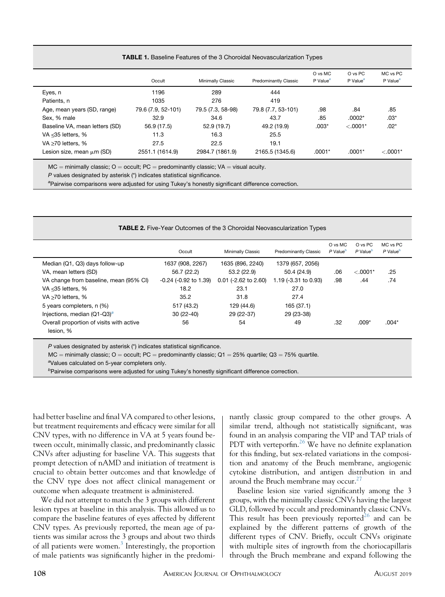|  |  |  |  |  | <b>TABLE 1.</b> Baseline Features of the 3 Choroidal Neovascularization Types |  |
|--|--|--|--|--|-------------------------------------------------------------------------------|--|
|--|--|--|--|--|-------------------------------------------------------------------------------|--|

<span id="page-3-0"></span>

|                                                                                         | Occult             | Minimally Classic | <b>Predominantly Classic</b> | O vs MC<br>$P$ Value <sup>a</sup> | O vs PC<br>$P$ Value <sup>a</sup> | MC vs PC<br>$P$ Value <sup>a</sup> |
|-----------------------------------------------------------------------------------------|--------------------|-------------------|------------------------------|-----------------------------------|-----------------------------------|------------------------------------|
| Eyes, n                                                                                 | 1196               | 289               | 444                          |                                   |                                   |                                    |
| Patients, n                                                                             | 1035               | 276               | 419                          |                                   |                                   |                                    |
| Age, mean years (SD, range)                                                             | 79.6 (7.9, 52-101) | 79.5 (7.3, 58-98) | 79.8 (7.7, 53-101)           | .98                               | .84                               | .85                                |
| Sex. % male                                                                             | 32.9               | 34.6              | 43.7                         | .85                               | $.0002*$                          | $.03*$                             |
| Baseline VA, mean letters (SD)                                                          | 56.9 (17.5)        | 52.9 (19.7)       | 49.2 (19.9)                  | $.003*$                           | $< .0001*$                        | $.02*$                             |
| VA $<$ 35 letters, $%$                                                                  | 11.3               | 16.3              | 25.5                         |                                   |                                   |                                    |
| VA $\geq$ 70 letters, %                                                                 | 27.5               | 22.5              | 19.1                         |                                   |                                   |                                    |
| Lesion size, mean $\mu$ m (SD)                                                          | 2551.1 (1614.9)    | 2984.7 (1861.9)   | 2165.5 (1345.6)              | $.0001*$                          | $.0001*$                          | $< 0.001*$                         |
| $MC =$ minimally classic; $O =$ occult; PC = predominantly classic; VA = visual acuity. |                    |                   |                              |                                   |                                   |                                    |

*P* values designated by asterisk (\*) indicates statistical significance.

*a* Pairwise comparisons were adjusted for using Tukey's honestly significant difference correction.

| <b>TABLE 2.</b> Five-Year Outcomes of the 3 Choroidal Neovascularization Types |  |
|--------------------------------------------------------------------------------|--|
|--------------------------------------------------------------------------------|--|

|                                                       | Occult                     | Minimally Classic      | <b>Predominantly Classic</b> | O vs MC<br>$P$ Value <sup>b</sup> | O vs PC<br>$P$ Value <sup>b</sup> | MC vs PC<br>$P$ Value <sup>b</sup> |  |
|-------------------------------------------------------|----------------------------|------------------------|------------------------------|-----------------------------------|-----------------------------------|------------------------------------|--|
| Median (Q1, Q3) days follow-up                        | 1637 (908, 2267)           | 1635 (896, 2240)       | 1379 (657, 2056)             |                                   |                                   |                                    |  |
| VA, mean letters (SD)                                 | 56.7 (22.2)                | 53.2 (22.9)            | 50.4 (24.9)                  | .06                               | $< .0001*$                        | .25                                |  |
| VA change from baseline, mean (95% CI)                | $-0.24$ ( $-0.92$ to 1.39) | $0.01$ (-2.62 to 2.60) | 1.19 (-3.31 to 0.93)         | .98                               | .44                               | .74                                |  |
| VA $\leq$ 35 letters, %                               | 18.2                       | 23.1                   | 27.0                         |                                   |                                   |                                    |  |
| VA $\geq 70$ letters, %                               | 35.2                       | 31.8                   | 27.4                         |                                   |                                   |                                    |  |
| 5 years completers, n (%)                             | 517 (43.2)                 | 129 (44.6)             | 165 (37.1)                   |                                   |                                   |                                    |  |
| Injections, median $(Q1-Q3)^a$                        | $30(22-40)$                | 29 (22-37)             | 29 (23-38)                   |                                   |                                   |                                    |  |
| Overall proportion of visits with active<br>lesion, % | 56                         | 54                     | 49                           | .32                               | $.009*$                           | $.004*$                            |  |

*P* values designated by asterisk (\*) indicates statistical significance.

 $MC =$  minimally classic; O = occult; PC = predominantly classic; Q1 = 25% quartile; Q3 = 75% quartile.

*a* Values calculated on 5-year completers only.

*b* Pairwise comparisons were adjusted for using Tukey's honestly significant difference correction.

had better baseline and final VA compared to other lesions, but treatment requirements and efficacy were similar for all CNV types, with no difference in VA at 5 years found between occult, minimally classic, and predominantly classic CNVs after adjusting for baseline VA. This suggests that prompt detection of nAMD and initiation of treatment is crucial to obtain better outcomes and that knowledge of the CNV type does not affect clinical management or outcome when adequate treatment is administered.

We did not attempt to match the 3 groups with different lesion types at baseline in this analysis. This allowed us to compare the baseline features of eyes affected by different CNV types. As previously reported, the mean age of patients was similar across the 3 groups and about two thirds of all patients were women.<sup>[3](#page-6-0)</sup> Interestingly, the proportion of male patients was significantly higher in the predomi-

nantly classic group compared to the other groups. A similar trend, although not statistically significant, was found in an analysis comparing the VIP and TAP trials of PDT with verteporfin.<sup>[26](#page-7-0)</sup> We have no definite explanation for this finding, but sex-related variations in the composition and anatomy of the Bruch membrane, angiogenic cytokine distribution, and antigen distribution in and around the Bruch membrane may occur.<sup>[27](#page-7-0)</sup>

Baseline lesion size varied significantly among the 3 groups, with the minimally classic CNVs having the largest GLD, followed by occult and predominantly classic CNVs. This result has been previously reported<sup>[26](#page-7-0)</sup> and can be explained by the different patterns of growth of the different types of CNV. Briefly, occult CNVs originate with multiple sites of ingrowth from the choriocapillaris through the Bruch membrane and expand following the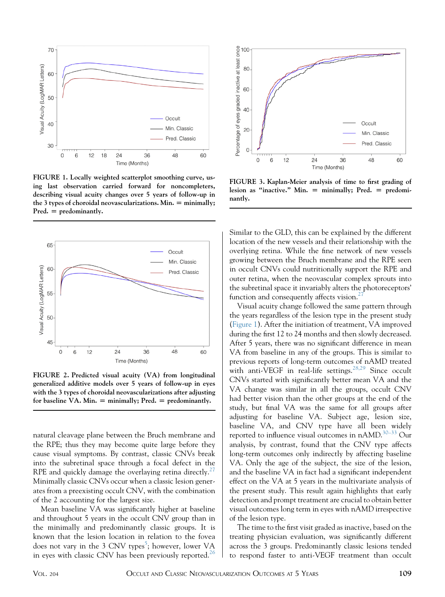<span id="page-4-0"></span>

FIGURE 1. Locally weighted scatterplot smoothing curve, using last observation carried forward for noncompleters, describing visual acuity changes over 5 years of follow-up in the 3 types of choroidal neovascularizations. Min.  $=$  minimally;  $Pred. = predominantly.$ 



FIGURE 2. Predicted visual acuity (VA) from longitudinal generalized additive models over 5 years of follow-up in eyes with the 3 types of choroidal neovascularizations after adjusting for baseline VA. Min.  $=$  minimally; Pred.  $=$  predominantly.

natural cleavage plane between the Bruch membrane and the RPE; thus they may become quite large before they cause visual symptoms. By contrast, classic CNVs break into the subretinal space through a focal defect in the RPE and quickly damage the overlaying retina directly.<sup>[27](#page-7-0)</sup> Minimally classic CNVs occur when a classic lesion generates from a preexisting occult CNV, with the combination of the 2 accounting for the largest size.

Mean baseline VA was significantly higher at baseline and throughout 5 years in the occult CNV group than in the minimally and predominantly classic groups. It is known that the lesion location in relation to the fovea does not vary in the 3 CNV types<sup>5</sup>; however, lower VA in eyes with classic CNV has been previously reported.<sup>[26](#page-7-0)</sup>



FIGURE 3. Kaplan-Meier analysis of time to first grading of lesion as "inactive." Min.  $=$  minimally; Pred.  $=$  predominantly.

Similar to the GLD, this can be explained by the different location of the new vessels and their relationship with the overlying retina. While the fine network of new vessels growing between the Bruch membrane and the RPE seen in occult CNVs could nutritionally support the RPE and outer retina, when the neovascular complex sprouts into the subretinal space it invariably alters the photoreceptors' function and consequently affects vision. $<sup>2</sup>$ </sup>

Visual acuity change followed the same pattern through the years regardless of the lesion type in the present study (Figure 1). After the initiation of treatment, VA improved during the first 12 to 24 months and then slowly decreased. After 5 years, there was no significant difference in mean VA from baseline in any of the groups. This is similar to previous reports of long-term outcomes of nAMD treated with anti-VEGF in real-life settings.<sup>[28,29](#page-7-0)</sup> Since occult CNVs started with significantly better mean VA and the VA change was similar in all the groups, occult CNV had better vision than the other groups at the end of the study, but final VA was the same for all groups after adjusting for baseline VA. Subject age, lesion size, baseline VA, and CNV type have all been widely reported to influence visual outcomes in nAMD.<sup>[30–33](#page-7-0)</sup> Our analysis, by contrast, found that the CNV type affects long-term outcomes only indirectly by affecting baseline VA. Only the age of the subject, the size of the lesion, and the baseline VA in fact had a significant independent effect on the VA at 5 years in the multivariate analysis of the present study. This result again highlights that early detection and prompt treatment are crucial to obtain better visual outcomes long term in eyes with nAMD irrespective of the lesion type.

The time to the first visit graded as inactive, based on the treating physician evaluation, was significantly different across the 3 groups. Predominantly classic lesions tended to respond faster to anti-VEGF treatment than occult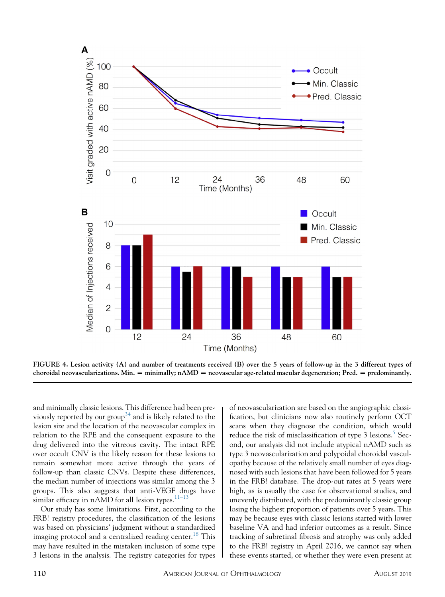<span id="page-5-0"></span>

FIGURE 4. Lesion activity (A) and number of treatments received (B) over the 5 years of follow-up in the 3 different types of choroidal neovascularizations. Min.  $=$  minimally;  $nAMD$  = neovascular age-related macular degeneration; Pred.  $=$  predominantly.

and minimally classic lesions. This difference had been pre-viously reported by our group<sup>[34](#page-7-0)</sup> and is likely related to the lesion size and the location of the neovascular complex in relation to the RPE and the consequent exposure to the drug delivered into the vitreous cavity. The intact RPE over occult CNV is the likely reason for these lesions to remain somewhat more active through the years of follow-up than classic CNVs. Despite these differences, the median number of injections was similar among the 3 groups. This also suggests that anti-VEGF drugs have similar efficacy in nAMD for all lesion types. $11-13$ 

Our study has some limitations. First, according to the FRB! registry procedures, the classification of the lesions was based on physicians' judgment without a standardized imaging protocol and a centralized reading center.<sup>[18](#page-7-0)</sup> This may have resulted in the mistaken inclusion of some type 3 lesions in the analysis. The registry categories for types

of neovascularization are based on the angiographic classification, but clinicians now also routinely perform OCT scans when they diagnose the condition, which would reduce the risk of misclassification of type 3 lesions.<sup>[5](#page-6-0)</sup> Second, our analysis did not include atypical nAMD such as type 3 neovascularization and polypoidal choroidal vasculopathy because of the relatively small number of eyes diagnosed with such lesions that have been followed for 5 years in the FRB! database. The drop-out rates at 5 years were high, as is usually the case for observational studies, and unevenly distributed, with the predominantly classic group losing the highest proportion of patients over 5 years. This may be because eyes with classic lesions started with lower baseline VA and had inferior outcomes as a result. Since tracking of subretinal fibrosis and atrophy was only added to the FRB! registry in April 2016, we cannot say when these events started, or whether they were even present at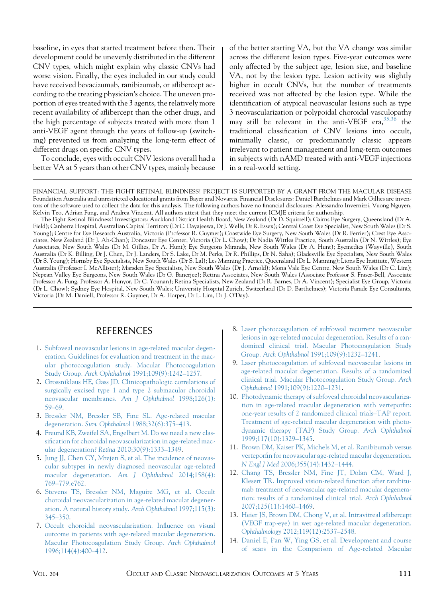<span id="page-6-0"></span>baseline, in eyes that started treatment before then. Their development could be unevenly distributed in the different CNV types, which might explain why classic CNVs had worse vision. Finally, the eyes included in our study could have received bevacizumab, ranibizumab, or aflibercept according to the treating physician's choice. The uneven proportion of eyes treated with the 3 agents, the relatively more recent availability of aflibercept than the other drugs, and the high percentage of subjects treated with more than 1 anti-VEGF agent through the years of follow-up (switching) prevented us from analyzing the long-term effect of different drugs on specific CNV types.

To conclude, eyes with occult CNV lesions overall had a better VA at 5 years than other CNV types, mainly because of the better starting VA, but the VA change was similar across the different lesion types. Five-year outcomes were only affected by the subject age, lesion size, and baseline VA, not by the lesion type. Lesion activity was slightly higher in occult CNVs, but the number of treatments received was not affected by the lesion type. While the identification of atypical neovascular lesions such as type 3 neovascularization or polypoidal choroidal vasculopathy may still be relevant in the anti-VEGF era,  $35,36$  the traditional classification of CNV lesions into occult, minimally classic, or predominantly classic appears irrelevant to patient management and long-term outcomes in subjects with nAMD treated with anti-VEGF injections in a real-world setting.

FINANCIAL SUPPORT: THE FIGHT RETINAL BLINDNESS! PROJECT IS SUPPORTED BY A GRANT FROM THE MACULAR DISEASE Foundation Australia and unrestricted educational grants from Bayer and Novartis. Financial Disclosures: Daniel Barthelmes and Mark Gillies are inventors of the software used to collect the data for this analysis. The following authors have no financial disclosures: Alessandro Invernizzi, Vuong Nguyen, Kelvin Teo, Adrian Fung, and Andrea Vincent. All authors attest that they meet the current ICMJE criteria for authorship.

The Fight Retinal Blindness! Investigators: Auckland District Health Board, New Zealand (Dr D. Squirrell); Cairns Eye Surgery, Queensland (Dr A. Field); Canberra Hospital, Australian Capital Territory (Dr C. Dayajeewa, Dr J. Wells, Dr R. Essex); Central Coast Eye Specialist, New South Wales (Dr S. Young); Centre for Eye Research Australia, Victoria (Professor R. Guymer); Coastwide Eye Surgery, New South Wales (Dr R. Ferrier); Crest Eye Associates, New Zealand (Dr J. Ah-Chan); Doncaster Eye Center, Victoria (Dr L. Chow); Dr Nadia Wittles Practice, South Australia (Dr N. Wittles); Eye Associates, New South Wales (Dr M. Gillies, Dr A. Hunt); Eye Surgeons Miranda, New South Wales (Dr A. Hunt); Eyemedics (Wayville), South Australia (Dr K. Billing, Dr J. Chen, Dr J. Landers, Dr S. Lake, Dr M. Perks, Dr R. Phillips, Dr N. Saha); Gladesville Eye Specialists, New South Wales (Dr S. Young); Hornsby Eye Specialists, New South Wales (Dr S. Lal); Les Manning Practice, Queensland (Dr L. Manning); Lions Eye Institute, Western Australia (Professor I. McAllister); Marsden Eye Specialists, New South Wales (Dr J. Arnold); Mona Vale Eye Centre, New South Wales (Dr C. Lim); Nepean Valley Eye Surgeons, New South Wales (Dr G. Banerjee); Retina Associates, New South Wales (Associate Professor S. Fraser-Bell, Associate Professor A. Fung, Professor A. Hunyor, Dr C. Younan); Retina Specialists, New Zealand (Dr R. Barnes, Dr A. Vincent); Specialist Eye Group, Victoria (Dr L. Chow); Sydney Eye Hospital, New South Wales; University Hospital Zurich, Switzerland (Dr D. Barthelmes); Victoria Parade Eye Consultants, Victoria (Dr M. Daniell, Professor R. Guymer, Dr A. Harper, Dr L. Lim, Dr J. O'Day).

### REFERENCES

- 1. [Subfoveal neovascular lesions in age-related macular degen](http://refhub.elsevier.com/S0002-9394(19)30097-2/sref1)[eration. Guidelines for evaluation and treatment in the mac](http://refhub.elsevier.com/S0002-9394(19)30097-2/sref1)[ular photocoagulation study. Macular Photocoagulation](http://refhub.elsevier.com/S0002-9394(19)30097-2/sref1) Study Group. Arch Ophthalmol [1991;109\(9\):1242–1257](http://refhub.elsevier.com/S0002-9394(19)30097-2/sref1).
- 2. [Grossniklaus HE, Gass JD. Clinicopathologic correlations of](http://refhub.elsevier.com/S0002-9394(19)30097-2/sref2) [surgically excised type 1 and type 2 submacular choroidal](http://refhub.elsevier.com/S0002-9394(19)30097-2/sref2) [neovascular membranes.](http://refhub.elsevier.com/S0002-9394(19)30097-2/sref2) Am J Ophthalmol 1998;126(1): [59–69.](http://refhub.elsevier.com/S0002-9394(19)30097-2/sref2)
- 3. [Bressler NM, Bressler SB, Fine SL. Age-related macular](http://refhub.elsevier.com/S0002-9394(19)30097-2/sref3) degeneration. Surv Ophthalmol [1988;32\(6\):375–413](http://refhub.elsevier.com/S0002-9394(19)30097-2/sref3).
- 4. [Freund KB, Zweifel SA, Engelbert M. Do we need a new clas](http://refhub.elsevier.com/S0002-9394(19)30097-2/sref4)[sification for choroidal neovascularization in age-related mac](http://refhub.elsevier.com/S0002-9394(19)30097-2/sref4)ular degeneration? Retina [2010;30\(9\):1333–1349](http://refhub.elsevier.com/S0002-9394(19)30097-2/sref4).
- 5. [Jung JJ, Chen CY, Mrejen S, et al. The incidence of neovas](http://refhub.elsevier.com/S0002-9394(19)30097-2/sref5)[cular subtypes in newly diagnosed neovascular age-related](http://refhub.elsevier.com/S0002-9394(19)30097-2/sref5) [macular degeneration.](http://refhub.elsevier.com/S0002-9394(19)30097-2/sref5) Am J Ophthalmol 2014;158(4): [769–779.e762](http://refhub.elsevier.com/S0002-9394(19)30097-2/sref5).
- 6. [Stevens TS, Bressler NM, Maguire MG, et al. Occult](http://refhub.elsevier.com/S0002-9394(19)30097-2/sref6) [choroidal neovascularization in age-related macular degener](http://refhub.elsevier.com/S0002-9394(19)30097-2/sref6)[ation. A natural history study.](http://refhub.elsevier.com/S0002-9394(19)30097-2/sref6) Arch Ophthalmol 1997;115(3): [345–350](http://refhub.elsevier.com/S0002-9394(19)30097-2/sref6).
- 7. [Occult choroidal neovascularization. Influence on visual](http://refhub.elsevier.com/S0002-9394(19)30097-2/sref7) [outcome in patients with age-related macular degeneration.](http://refhub.elsevier.com/S0002-9394(19)30097-2/sref7) [Macular Photocoagulation Study Group.](http://refhub.elsevier.com/S0002-9394(19)30097-2/sref7) Arch Ophthalmol [1996;114\(4\):400–412.](http://refhub.elsevier.com/S0002-9394(19)30097-2/sref7)
- 8. [Laser photocoagulation of subfoveal recurrent neovascular](http://refhub.elsevier.com/S0002-9394(19)30097-2/sref8) [lesions in age-related macular degeneration. Results of a ran](http://refhub.elsevier.com/S0002-9394(19)30097-2/sref8)[domized clinical trial. Macular Photocoagulation Study](http://refhub.elsevier.com/S0002-9394(19)30097-2/sref8) Group. Arch Ophthalmol [1991;109\(9\):1232–1241](http://refhub.elsevier.com/S0002-9394(19)30097-2/sref8).
- 9. [Laser photocoagulation of subfoveal neovascular lesions in](http://refhub.elsevier.com/S0002-9394(19)30097-2/sref9) [age-related macular degeneration. Results of a randomized](http://refhub.elsevier.com/S0002-9394(19)30097-2/sref9) [clinical trial. Macular Photocoagulation Study Group.](http://refhub.elsevier.com/S0002-9394(19)30097-2/sref9) Arch Ophthalmol [1991;109\(9\):1220–1231](http://refhub.elsevier.com/S0002-9394(19)30097-2/sref9).
- 10. [Photodynamic therapy of subfoveal choroidal neovasculariza](http://refhub.elsevier.com/S0002-9394(19)30097-2/sref10)[tion in age-related macular degeneration with verteporfin:](http://refhub.elsevier.com/S0002-9394(19)30097-2/sref10) [one-year results of 2 randomized clinical trials–TAP report.](http://refhub.elsevier.com/S0002-9394(19)30097-2/sref10) [Treatment of age-related macular degeneration with photo](http://refhub.elsevier.com/S0002-9394(19)30097-2/sref10)[dynamic therapy \(TAP\) Study Group.](http://refhub.elsevier.com/S0002-9394(19)30097-2/sref10) Arch Ophthalmol [1999;117\(10\):1329–1345.](http://refhub.elsevier.com/S0002-9394(19)30097-2/sref10)
- 11. [Brown DM, Kaiser PK, Michels M, et al. Ranibizumab versus](http://refhub.elsevier.com/S0002-9394(19)30097-2/sref11) [verteporfin for neovascular age-related macular degeneration.](http://refhub.elsevier.com/S0002-9394(19)30097-2/sref11) N Engl J Med [2006;355\(14\):1432–1444.](http://refhub.elsevier.com/S0002-9394(19)30097-2/sref11)
- 12. [Chang TS, Bressler NM, Fine JT, Dolan CM, Ward J,](http://refhub.elsevier.com/S0002-9394(19)30097-2/sref12) [Klesert TR. Improved vision-related function after ranibizu](http://refhub.elsevier.com/S0002-9394(19)30097-2/sref12)[mab treatment of neovascular age-related macular degenera](http://refhub.elsevier.com/S0002-9394(19)30097-2/sref12)[tion: results of a randomized clinical trial.](http://refhub.elsevier.com/S0002-9394(19)30097-2/sref12) Arch Ophthalmol [2007;125\(11\):1460–1469.](http://refhub.elsevier.com/S0002-9394(19)30097-2/sref12)
- 13. [Heier JS, Brown DM, Chong V, et al. Intravitreal aflibercept](http://refhub.elsevier.com/S0002-9394(19)30097-2/sref13) [\(VEGF trap-eye\) in wet age-related macular degeneration.](http://refhub.elsevier.com/S0002-9394(19)30097-2/sref13) Ophthalmology [2012;119\(12\):2537–2548.](http://refhub.elsevier.com/S0002-9394(19)30097-2/sref13)
- 14. [Daniel E, Pan W, Ying GS, et al. Development and course](http://refhub.elsevier.com/S0002-9394(19)30097-2/sref14) [of scars in the Comparison of Age-related Macular](http://refhub.elsevier.com/S0002-9394(19)30097-2/sref14)